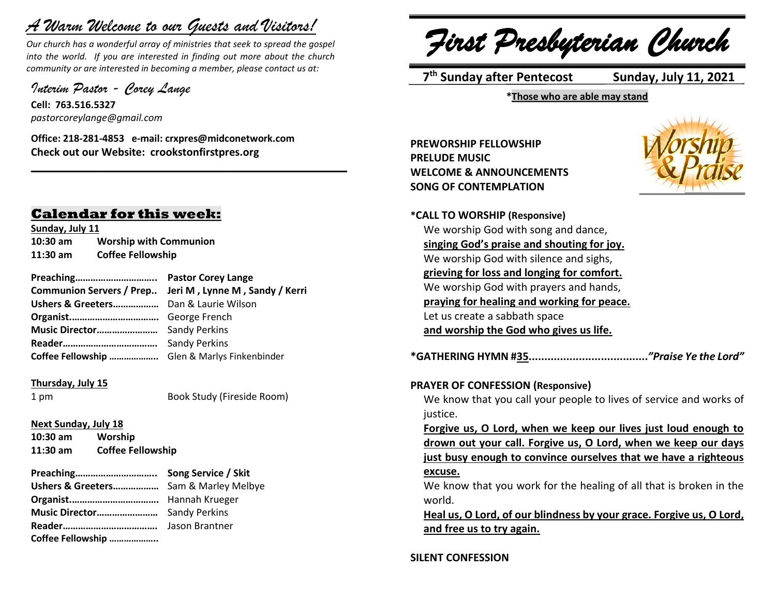# *A Warm Welcome to our Guests and Visitors!*

*Our church has a wonderful array of ministries that seek to spread the gospel into the world. If you are interested in finding out more about the church community or are interested in becoming a member, please contact us at:*

**\_\_\_\_\_\_\_\_\_\_\_\_\_\_\_\_\_\_\_\_\_\_\_\_\_\_\_\_\_\_\_\_\_\_\_\_\_\_\_\_\_\_\_\_\_\_\_\_\_\_\_\_\_\_**

*Interim Pastor - Corey Lange* 

**Cell: 763.516.5327** *pastorcoreylange@gmail.com*

**Office: 218-281-4853 e-mail: crxpres@midconetwork.com Check out our Website: crookstonfirstpres.org**

## **Calendar for this week:**

**Sunday, July 11 10:30 am Worship with Communion 11:30 am Coffee Fellowship**

| Communion Servers / Prep Jeri M, Lynne M, Sandy / Kerri |
|---------------------------------------------------------|
|                                                         |
|                                                         |
|                                                         |
|                                                         |
| Coffee Fellowship  Glen & Marlys Finkenbinder           |
|                                                         |

#### **Thursday, July 15**

1 pm Book Study (Fireside Room)

## **Next Sunday, July 18**

**10:30 am Worship 11:30 am Coffee Fellowship**

| Ushers & Greeters Sam & Marley Melbye |                |
|---------------------------------------|----------------|
|                                       |                |
|                                       |                |
|                                       | Jason Brantner |
| Coffee Fellowship                     |                |

*First Presbyterian Church*

 **7 th Sunday after Pentecost Sunday, July 11, 2021**

**\*Those who are able may stand**

**PREWORSHIP FELLOWSHIP PRELUDE MUSIC WELCOME & ANNOUNCEMENTS SONG OF CONTEMPLATION**



| *CALL TO WORSHIP (Responsive)                                        |
|----------------------------------------------------------------------|
| We worship God with song and dance,                                  |
| singing God's praise and shouting for joy.                           |
| We worship God with silence and sighs,                               |
| grieving for loss and longing for comfort.                           |
| We worship God with prayers and hands,                               |
| praying for healing and working for peace.                           |
| Let us create a sabbath space                                        |
| and worship the God who gives us life.                               |
|                                                                      |
|                                                                      |
| <b>PRAYER OF CONFESSION (Responsive)</b>                             |
| We know that you call your people to lives of service and works of   |
| justice.                                                             |
| Forgive us, O Lord, when we keep our lives just loud enough to       |
| drown out your call. Forgive us, O Lord, when we keep our days       |
| just busy enough to convince ourselves that we have a righteous      |
| excuse.                                                              |
| We know that you work for the healing of all that is broken in the   |
| world.                                                               |
| Heal us, O Lord, of our blindness by your grace. Forgive us, O Lord, |
| and free us to try again.                                            |
|                                                                      |
|                                                                      |